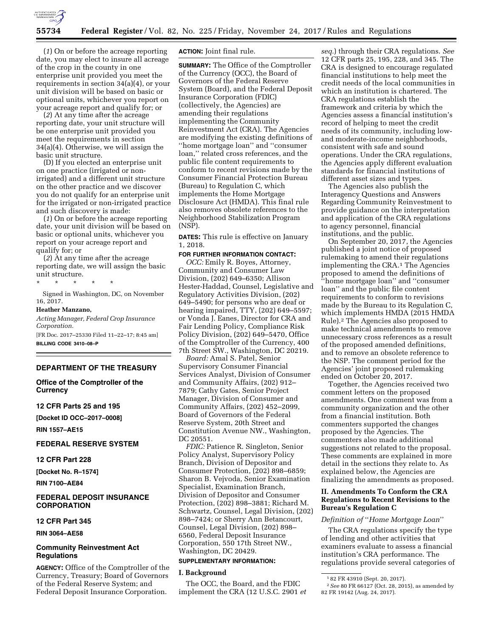

(*1*) On or before the acreage reporting date, you may elect to insure all acreage of the crop in the county in one enterprise unit provided you meet the requirements in section 34(a)(4), or your unit division will be based on basic or optional units, whichever you report on your acreage report and qualify for; or

(*2*) At any time after the acreage reporting date, your unit structure will be one enterprise unit provided you meet the requirements in section 34(a)(4). Otherwise, we will assign the basic unit structure.

(D) If you elected an enterprise unit on one practice (irrigated or nonirrigated) and a different unit structure on the other practice and we discover you do not qualify for an enterprise unit for the irrigated or non-irrigated practice and such discovery is made:

(*1*) On or before the acreage reporting date, your unit division will be based on basic or optional units, whichever you report on your acreage report and qualify for; or

(*2*) At any time after the acreage reporting date, we will assign the basic unit structure.

\* \* \* \* \*

Signed in Washington, DC, on November 16, 2017.

#### **Heather Manzano,**

*Acting Manager, Federal Crop Insurance Corporation.* 

[FR Doc. 2017–25330 Filed 11–22–17; 8:45 am] **BILLING CODE 3410–08–P** 

## **DEPARTMENT OF THE TREASURY**

**Office of the Comptroller of the Currency** 

## **12 CFR Parts 25 and 195**

**[Docket ID OCC–2017–0008]** 

**RIN 1557–AE15** 

## **FEDERAL RESERVE SYSTEM**

#### **12 CFR Part 228**

**[Docket No. R–1574]** 

**RIN 7100–AE84** 

## **FEDERAL DEPOSIT INSURANCE CORPORATION**

#### **12 CFR Part 345**

**RIN 3064–AE58** 

## **Community Reinvestment Act Regulations**

**AGENCY:** Office of the Comptroller of the Currency, Treasury; Board of Governors of the Federal Reserve System; and Federal Deposit Insurance Corporation.

**ACTION:** Joint final rule.

**SUMMARY:** The Office of the Comptroller of the Currency (OCC), the Board of Governors of the Federal Reserve System (Board), and the Federal Deposit Insurance Corporation (FDIC) (collectively, the Agencies) are amending their regulations implementing the Community Reinvestment Act (CRA). The Agencies are modifying the existing definitions of ''home mortgage loan'' and ''consumer loan,'' related cross references, and the public file content requirements to conform to recent revisions made by the Consumer Financial Protection Bureau (Bureau) to Regulation C, which implements the Home Mortgage Disclosure Act (HMDA). This final rule also removes obsolete references to the Neighborhood Stabilization Program (NSP).

**DATES:** This rule is effective on January 1, 2018.

#### **FOR FURTHER INFORMATION CONTACT:**

*OCC:* Emily R. Boyes, Attorney, Community and Consumer Law Division, (202) 649–6350; Allison Hester-Haddad, Counsel, Legislative and Regulatory Activities Division, (202) 649–5490; for persons who are deaf or hearing impaired, TTY, (202) 649–5597; or Vonda J. Eanes, Director for CRA and Fair Lending Policy, Compliance Risk Policy Division, (202) 649–5470, Office of the Comptroller of the Currency, 400 7th Street SW., Washington, DC 20219.

*Board:* Amal S. Patel, Senior Supervisory Consumer Financial Services Analyst, Division of Consumer and Community Affairs, (202) 912– 7879; Cathy Gates, Senior Project Manager, Division of Consumer and Community Affairs, (202) 452–2099, Board of Governors of the Federal Reserve System, 20th Street and Constitution Avenue NW., Washington, DC 20551.

*FDIC:* Patience R. Singleton, Senior Policy Analyst, Supervisory Policy Branch, Division of Depositor and Consumer Protection, (202) 898–6859; Sharon B. Vejvoda, Senior Examination Specialist, Examination Branch, Division of Depositor and Consumer Protection, (202) 898–3881; Richard M. Schwartz, Counsel, Legal Division, (202) 898–7424; or Sherry Ann Betancourt, Counsel, Legal Division, (202) 898– 6560, Federal Deposit Insurance Corporation, 550 17th Street NW., Washington, DC 20429.

## **SUPPLEMENTARY INFORMATION:**

## **I. Background**

The OCC, the Board, and the FDIC implement the CRA (12 U.S.C. 2901 *et* 

*seq.*) through their CRA regulations. *See*  12 CFR parts 25, 195, 228, and 345. The CRA is designed to encourage regulated financial institutions to help meet the credit needs of the local communities in which an institution is chartered. The CRA regulations establish the framework and criteria by which the Agencies assess a financial institution's record of helping to meet the credit needs of its community, including lowand moderate-income neighborhoods, consistent with safe and sound operations. Under the CRA regulations, the Agencies apply different evaluation standards for financial institutions of different asset sizes and types.

The Agencies also publish the Interagency Questions and Answers Regarding Community Reinvestment to provide guidance on the interpretation and application of the CRA regulations to agency personnel, financial institutions, and the public.

On September 20, 2017, the Agencies published a joint notice of proposed rulemaking to amend their regulations implementing the CRA.1 The Agencies proposed to amend the definitions of ''home mortgage loan'' and ''consumer loan'' and the public file content requirements to conform to revisions made by the Bureau to its Regulation C, which implements HMDA (2015 HMDA Rule).2 The Agencies also proposed to make technical amendments to remove unnecessary cross references as a result of the proposed amended definitions, and to remove an obsolete reference to the NSP. The comment period for the Agencies' joint proposed rulemaking ended on October 20, 2017.

Together, the Agencies received two comment letters on the proposed amendments. One comment was from a community organization and the other from a financial institution. Both commenters supported the changes proposed by the Agencies. The commenters also made additional suggestions not related to the proposal. These comments are explained in more detail in the sections they relate to. As explained below, the Agencies are finalizing the amendments as proposed.

## **II. Amendments To Conform the CRA Regulations to Recent Revisions to the Bureau's Regulation C**

## *Definition of* ''*Home Mortgage Loan*''

The CRA regulations specify the type of lending and other activities that examiners evaluate to assess a financial institution's CRA performance. The regulations provide several categories of

<sup>1</sup> 82 FR 43910 (Sept. 20, 2017).

<sup>2</sup>*See* 80 FR 66127 (Oct. 28, 2015), as amended by 82 FR 19142 (Aug. 24, 2017).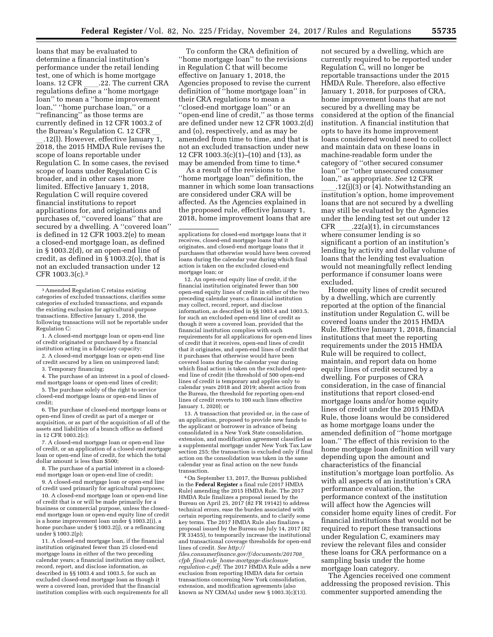loans that may be evaluated to determine a financial institution's performance under the retail lending test, one of which is home mortgage<br>loans. 12 CFR .22. The current CRA loans. 12 CFR \_\_\_\_.22. The current CRA<br>regulations define a ''home mortgage loan'' to mean a ''home improvement loan,'' ''home purchase loan,'' or a ''refinancing'' as those terms are currently defined in 12 CFR 1003.2 of the Bureau's Regulation C. 12 CFR  $\frac{12 \text{ (I)}}{12 \text{ (I)}}$ . However, effective January 1,

\_\_.12(l). However, effective January 1,<br>2018, the 2015 HMDA Rule revises the scope of loans reportable under Regulation C. In some cases, the revised scope of loans under Regulation C is broader, and in other cases more limited. Effective January 1, 2018, Regulation C will require covered financial institutions to report applications for, and originations and purchases of, "covered loans" that are secured by a dwelling. A ''covered loan'' is defined in 12 CFR 1003.2(e) to mean a closed-end mortgage loan, as defined in § 1003.2(d), or an open-end line of credit, as defined in § 1003.2(o), that is not an excluded transaction under 12 CFR 1003.3(c).3

1. A closed-end mortgage loan or open-end line of credit originated or purchased by a financial institution acting in a fiduciary capacity;

2. A closed-end mortgage loan or open-end line of credit secured by a lien on unimproved land;

3. Temporary financing;

4. The purchase of an interest in a pool of closedend mortgage loans or open-end lines of credit;

5. The purchase solely of the right to service closed-end mortgage loans or open-end lines of credit;

6. The purchase of closed-end mortgage loans or open-end lines of credit as part of a merger or acquisition, or as part of the acquisition of all of the assets and liabilities of a branch office as defined in 12 CFR 1003.2(c);

7. A closed-end mortgage loan or open-end line of credit, or an application of a closed-end mortgage loan or open-end line of credit, for which the total dollar amount is less than \$500;

8. The purchase of a partial interest in a closedend mortgage loan or open-end line of credit;

9. A closed-end mortgage loan or open-end line of credit used primarily for agricultural purposes;

10. A closed-end mortgage loan or open-end line of credit that is or will be made primarily for a business or commercial purpose, unless the closedend mortgage loan or open-end equity line of credit is a home improvement loan under § 1003.2(i), a home purchase under § 1003.2(j), or a refinancing under § 1003.2(p);

11. A closed-end mortgage loan, if the financial institution originated fewer than 25 closed-end mortgage loans in either of the two preceding calendar years; a financial institution may collect, record, report, and disclose information, as described in §§ 1003.4 and 1003.5, for such an excluded closed-end mortgage loan as though it were a covered loan, provided that the financial institution complies with such requirements for all

To conform the CRA definition of ''home mortgage loan'' to the revisions in Regulation C that will become effective on January 1, 2018, the Agencies proposed to revise the current definition of ''home mortgage loan'' in their CRA regulations to mean a ''closed-end mortgage loan'' or an ''open-end line of credit,'' as those terms are defined under new 12 CFR 1003.2(d) and (o), respectively, and as may be amended from time to time, and that is not an excluded transaction under new 12 CFR 1003.3(c)(1)–(10) and (13), as may be amended from time to time.4

As a result of the revisions to the ''home mortgage loan'' definition, the manner in which some loan transactions are considered under CRA will be affected. As the Agencies explained in the proposed rule, effective January 1, 2018, home improvement loans that are

12. An open-end equity line of credit, if the financial institution originated fewer than 500 open-end equity lines of credit in either of the two preceding calendar years; a financial institution may collect, record, report, and disclose information, as described in §§ 1003.4 and 1003.5, for such an excluded open-end line of credit as though it were a covered loan, provided that the financial institution complies with such requirements for all applications for open-end lines of credit that it receives, open-end lines of credit that it originates, and open-end lines of credit that it purchases that otherwise would have been covered loans during the calendar year during which final action is taken on the excluded openend line of credit (the threshold of 500 open-end lines of credit is temporary and applies only to calendar years 2018 and 2019; absent action from the Bureau, the threshold for reporting open-end lines of credit reverts to 100 such lines effective January 1, 2020); or

13. A transaction that provided or, in the case of an application, proposed to provide new funds to the applicant or borrower in advance of being consolidated in a New York State consolidation, extension, and modification agreement classified as a supplemental mortgage under New York Tax Law section 255; the transaction is excluded only if final action on the consolidation was taken in the same calendar year as final action on the new funds

transaction. 4On September 13, 2017, the Bureau published in the **Federal Register** a final rule (2017 HMDA Rule) amending the 2015 HMDA Rule. The 2017 HMDA Rule finalizes a proposal issued by the Bureau on April 25, 2017 (82 FR 19142) to address technical errors, ease the burden associated with certain reporting requirements, and to clarify some key terms. The 2017 HMDA Rule also finalizes a proposal issued by the Bureau on July 14, 2017 (82 FR 33455), to temporarily increase the institutional and transactional coverage thresholds for open-end lines of credit. *See [http://](http://files.consumerfinance.gov/f/documents/201708_cfpb_final-rule_home-mortgage-disclosure_regulation-c.pdf)*

*[files.consumerfinance.gov/f/documents/201708](http://files.consumerfinance.gov/f/documents/201708_cfpb_final-rule_home-mortgage-disclosure_regulation-c.pdf)*\_ *cfpb*\_*final-rule*\_*[home-mortgage-disclosure](http://files.consumerfinance.gov/f/documents/201708_cfpb_final-rule_home-mortgage-disclosure_regulation-c.pdf)*\_ *[regulation-c.pdf.](http://files.consumerfinance.gov/f/documents/201708_cfpb_final-rule_home-mortgage-disclosure_regulation-c.pdf)* The 2017 HMDA Rule adds a new exclusion from reporting HMDA data for certain transactions concerning New York consolidation, extension, and modification agreements (also known as NY CEMAs) under new § 1003.3(c)(13).

not secured by a dwelling, which are currently required to be reported under Regulation C, will no longer be reportable transactions under the 2015 HMDA Rule. Therefore, also effective January 1, 2018, for purposes of CRA, home improvement loans that are not secured by a dwelling may be considered at the option of the financial institution. A financial institution that opts to have its home improvement loans considered would need to collect and maintain data on these loans in machine-readable form under the category of ''other secured consumer loan'' or ''other unsecured consumer loan,'' as appropriate. *See* 12 CFR

.12(j)(3) or (4). Notwithstanding an institution's option, home improvement loans that are not secured by a dwelling may still be evaluated by the Agencies under the lending test set out under 12  $CFR$  .22(a)(1), in circumstances where consumer lending is so significant a portion of an institution's lending by activity and dollar volume of loans that the lending test evaluation would not meaningfully reflect lending performance if consumer loans were excluded.

Home equity lines of credit secured by a dwelling, which are currently reported at the option of the financial institution under Regulation C, will be covered loans under the 2015 HMDA Rule. Effective January 1, 2018, financial institutions that meet the reporting requirements under the 2015 HMDA Rule will be required to collect, maintain, and report data on home equity lines of credit secured by a dwelling. For purposes of CRA consideration, in the case of financial institutions that report closed-end mortgage loans and/or home equity lines of credit under the 2015 HMDA Rule, those loans would be considered as home mortgage loans under the amended definition of ''home mortgage loan.'' The effect of this revision to the home mortgage loan definition will vary depending upon the amount and characteristics of the financial institution's mortgage loan portfolio. As with all aspects of an institution's CRA performance evaluation, the performance context of the institution will affect how the Agencies will consider home equity lines of credit. For financial institutions that would not be required to report these transactions under Regulation C, examiners may review the relevant files and consider these loans for CRA performance on a sampling basis under the home mortgage loan category.

The Agencies received one comment addressing the proposed revision. This commenter supported amending the

<sup>3</sup>Amended Regulation C retains existing categories of excluded transactions, clarifies some categories of excluded transactions, and expands the existing exclusion for agricultural-purpose transactions. Effective January 1, 2018, the following transactions will not be reportable under Regulation C:

applications for closed-end mortgage loans that it receives, closed-end mortgage loans that it originates, and closed-end mortgage loans that it purchases that otherwise would have been covered loans during the calendar year during which final action is taken on the excluded closed-end mortgage loan; or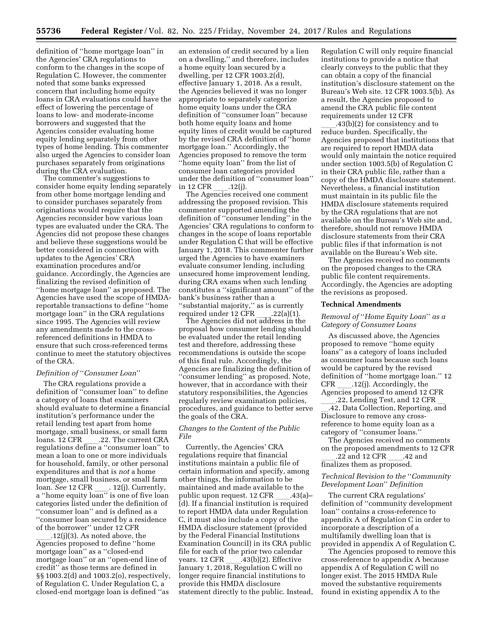definition of ''home mortgage loan'' in the Agencies' CRA regulations to conform to the changes in the scope of Regulation C. However, the commenter noted that some banks expressed concern that including home equity loans in CRA evaluations could have the effect of lowering the percentage of loans to low- and moderate-income borrowers and suggested that the Agencies consider evaluating home equity lending separately from other types of home lending. This commenter also urged the Agencies to consider loan purchases separately from originations during the CRA evaluation.

The commenter's suggestions to consider home equity lending separately from other home mortgage lending and to consider purchases separately from originations would require that the Agencies reconsider how various loan types are evaluated under the CRA. The Agencies did not propose these changes and believe these suggestions would be better considered in connection with updates to the Agencies' CRA examination procedures and/or guidance. Accordingly, the Agencies are finalizing the revised definition of ''home mortgage loan'' as proposed. The Agencies have used the scope of HMDAreportable transactions to define ''home mortgage loan'' in the CRA regulations since 1995. The Agencies will review any amendments made to the crossreferenced definitions in HMDA to ensure that such cross-referenced terms continue to meet the statutory objectives of the CRA.

#### *Definition of* ''*Consumer Loan*''

The CRA regulations provide a definition of ''consumer loan'' to define a category of loans that examiners should evaluate to determine a financial institution's performance under the retail lending test apart from home mortgage, small business, or small farm loans. 12 CFR \_\_\_\_.22. The current CRA<br>regulations define a ''consumer loan'' to mean a loan to one or more individuals for household, family, or other personal expenditures and that is *not* a home mortgage, small business, or small farm loan. *See* 12 CFR \_\_\_\_. 12(j). Currently,<br>a ''home equity loan'' is one of five loan categories listed under the definition of ''consumer loan'' and is defined as a ''consumer loan secured by a residence of the borrower'' under 12 CFR

.12(j)(3). As noted above, the Agencies proposed to define ''home mortgage loan'' as a ''closed-end mortgage loan'' or an ''open-end line of credit'' as those terms are defined in §§ 1003.2(d) and 1003.2(o), respectively, of Regulation C. Under Regulation C, a closed-end mortgage loan is defined ''as

an extension of credit secured by a lien on a dwelling,'' and therefore, includes a home equity loan secured by a dwelling, per 12 CFR 1003.2(d), effective January 1, 2018. As a result, the Agencies believed it was no longer appropriate to separately categorize home equity loans under the CRA definition of ''consumer loan'' because both home equity loans and home equity lines of credit would be captured by the revised CRA definition of ''home mortgage loan.'' Accordingly, the Agencies proposed to remove the term ''home equity loan'' from the list of consumer loan categories provided under the definition of ''consumer loan'' in 12 CFR \_\_\_\_.12(j).<br>The Agencies received one comment

addressing the proposed revision. This commenter supported amending the definition of ''consumer lending'' in the Agencies' CRA regulations to conform to changes in the scope of loans reportable under Regulation C that will be effective January 1, 2018. This commenter further urged the Agencies to have examiners evaluate consumer lending, including unsecured home improvement lending, during CRA exams when such lending constitutes a ''significant amount'' of the bank's business rather than a ''substantial majority,'' as is currently

required under 12 CFR \_\_\_\_.22(a)(1).<br>The Agencies did not address in the

proposal how consumer lending should be evaluated under the retail lending test and therefore, addressing these recommendations is outside the scope of this final rule. Accordingly, the Agencies are finalizing the definition of ''consumer lending'' as proposed. Note, however, that in accordance with their statutory responsibilities, the Agencies regularly review examination policies, procedures, and guidance to better serve the goals of the CRA.

## *Changes to the Content of the Public File*

Currently, the Agencies' CRA regulations require that financial institutions maintain a public file of certain information and specify, among other things, the information to be maintained and made available to the public upon request. 12 CFR \_\_\_\_.43(a)–<br>(d). If a financial institution is required to report HMDA data under Regulation C, it must also include a copy of the HMDA disclosure statement (provided by the Federal Financial Institutions Examination Council) in its CRA public file for each of the prior two calendar years. 12 CFR \_\_\_\_.43(b)(2). Effective<br>January 1, 2018, Regulation C will no longer require financial institutions to provide this HMDA disclosure statement directly to the public. Instead,

Regulation C will only require financial institutions to provide a notice that clearly conveys to the public that they can obtain a copy of the financial institution's disclosure statement on the Bureau's Web site. 12 CFR 1003.5(b). As a result, the Agencies proposed to amend the CRA public file content requirements under 12 CFR

 $.43(b)(2)$  for consistency and to reduce burden. Specifically, the Agencies proposed that institutions that are required to report HMDA data would only maintain the notice required under section 1003.5(b) of Regulation C in their CRA public file, rather than a copy of the HMDA disclosure statement. Nevertheless, a financial institution must maintain in its public file the HMDA disclosure statements required by the CRA regulations that are not available on the Bureau's Web site and, therefore, should not remove HMDA disclosure statements from their CRA public files if that information is not available on the Bureau's Web site.

The Agencies received no comments on the proposed changes to the CRA public file content requirements. Accordingly, the Agencies are adopting the revisions as proposed.

#### **Technical Amendments**

## *Removal of* ''*Home Equity Loan*'' *as a Category of Consumer Loans*

As discussed above, the Agencies proposed to remove ''home equity loans'' as a category of loans included as consumer loans because such loans would be captured by the revised definition of ''home mortgage loan.'' 12 CFR \_\_\_\_.12(j). Accordingly, the<br>Agencies proposed to amend 12 CFR

.22, Lending Test, and 12 CFR l.42, Data Collection, Reporting, and Disclosure to remove any crossreference to home equity loan as a category of ''consumer loans.''

The Agencies received no comments on the proposed amendments to 12 CFR

\_\_\_\_.22 and 12 CFR \_\_\_\_.42 and<br>finalizes them as proposed.

## *Technical Revision to the* ''*Community Development Loan*'' *Definition*

The current CRA regulations' definition of ''community development loan'' contains a cross-reference to appendix A of Regulation C in order to incorporate a description of a multifamily dwelling loan that is provided in appendix A of Regulation C.

The Agencies proposed to remove this cross-reference to appendix A because appendix A of Regulation C will no longer exist. The 2015 HMDA Rule moved the substantive requirements found in existing appendix A to the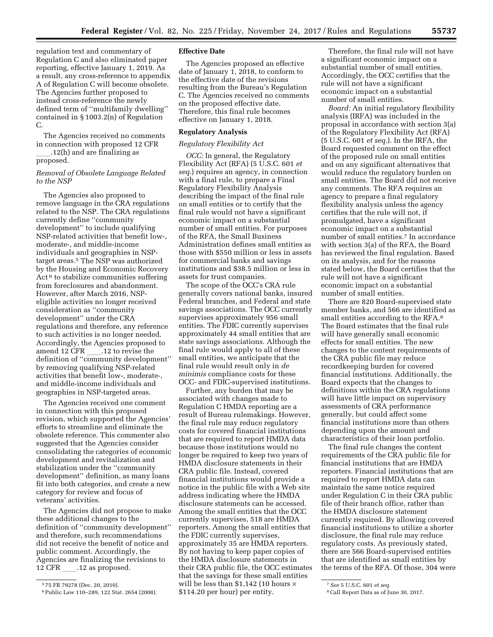regulation text and commentary of Regulation C and also eliminated paper reporting, effective January 1, 2019. As a result, any cross-reference to appendix A of Regulation C will become obsolete. The Agencies further proposed to instead cross-reference the newly defined term of ''multifamily dwelling'' contained in § 1003.2(n) of Regulation C.

The Agencies received no comments in connection with proposed 12 CFR  $.12(h)$  and are finalizing as

proposed.

## *Removal of Obsolete Language Related to the NSP*

The Agencies also proposed to remove language in the CRA regulations related to the NSP. The CRA regulations currently define ''community development'' to include qualifying NSP-related activities that benefit low-, moderate-, and middle-income individuals and geographies in NSPtarget areas.5 The NSP was authorized by the Housing and Economic Recovery Act 6 to stabilize communities suffering from foreclosures and abandonment. However, after March 2016, NSPeligible activities no longer received consideration as ''community development'' under the CRA regulations and therefore, any reference to such activities is no longer needed. Accordingly, the Agencies proposed to amend 12 CFR 12 to revise the definition of ''community development'' by removing qualifying NSP-related activities that benefit low-, moderate-, and middle-income individuals and geographies in NSP-targeted areas.

The Agencies received one comment in connection with this proposed revision, which supported the Agencies' efforts to streamline and eliminate the obsolete reference. This commenter also suggested that the Agencies consider consolidating the categories of economic development and revitalization and stabilization under the ''community development'' definition, as many loans fit into both categories, and create a new category for review and focus of veterans' activities.

The Agencies did not propose to make these additional changes to the definition of ''community development'' and therefore, such recommendations did not receive the benefit of notice and public comment. Accordingly, the Agencies are finalizing the revisions to 12 CFR 12 as proposed.

## **Effective Date**

The Agencies proposed an effective date of January 1, 2018, to conform to the effective date of the revisions resulting from the Bureau's Regulation C. The Agencies received no comments on the proposed effective date. Therefore, this final rule becomes effective on January 1, 2018.

## **Regulatory Analysis**

## *Regulatory Flexibility Act*

*OCC:* In general, the Regulatory Flexibility Act (RFA) (5 U.S.C. 601 *et seq.*) requires an agency, in connection with a final rule, to prepare a Final Regulatory Flexibility Analysis describing the impact of the final rule on small entities or to certify that the final rule would not have a significant economic impact on a substantial number of small entities. For purposes of the RFA, the Small Business Administration defines small entities as those with \$550 million or less in assets for commercial banks and savings institutions and \$38.5 million or less in assets for trust companies.

The scope of the OCC's CRA rule generally covers national banks, insured Federal branches, and Federal and state savings associations. The OCC currently supervises approximately 956 small entities. The FDIC currently supervises approximately 44 small entities that are state savings associations. Although the final rule would apply to all of these small entities, we anticipate that the final rule would result only in *de minimis* compliance costs for these OCC- and FDIC-supervised institutions.

Further, any burden that may be associated with changes made to Regulation C HMDA reporting are a result of Bureau rulemakings. However, the final rule may reduce regulatory costs for covered financial institutions that are required to report HMDA data because those institutions would no longer be required to keep two years of HMDA disclosure statements in their CRA public file. Instead, covered financial institutions would provide a notice in the public file with a Web site address indicating where the HMDA disclosure statements can be accessed. Among the small entities that the OCC currently supervises, 518 are HMDA reporters. Among the small entities that the FDIC currently supervises, approximately 35 are HMDA reporters. By not having to keep paper copies of the HMDA disclosure statements in their CRA public file, the OCC estimates that the savings for these small entities will be less than \$1,142 (10 hours  $\times$ \$114.20 per hour) per entity.

Therefore, the final rule will not have a significant economic impact on a substantial number of small entities. Accordingly, the OCC certifies that the rule will not have a significant economic impact on a substantial number of small entities.

*Board:* An initial regulatory flexibility analysis (IRFA) was included in the proposal in accordance with section 3(a) of the Regulatory Flexibility Act (RFA) (5 U.S.C. 601 *et seq.*). In the IRFA, the Board requested comment on the effect of the proposed rule on small entities and on any significant alternatives that would reduce the regulatory burden on small entities. The Board did not receive any comments. The RFA requires an agency to prepare a final regulatory flexibility analysis unless the agency certifies that the rule will not, if promulgated, have a significant economic impact on a substantial number of small entities.7 In accordance with section 3(a) of the RFA, the Board has reviewed the final regulation. Based on its analysis, and for the reasons stated below, the Board certifies that the rule will not have a significant economic impact on a substantial number of small entities.

There are 820 Board-supervised state member banks, and 566 are identified as small entities according to the RFA.8 The Board estimates that the final rule will have generally small economic effects for small entities. The new changes to the content requirements of the CRA public file may reduce recordkeeping burden for covered financial institutions. Additionally, the Board expects that the changes to definitions within the CRA regulations will have little impact on supervisory assessments of CRA performance generally, but could affect some financial institutions more than others depending upon the amount and characteristics of their loan portfolio.

The final rule changes the content requirements of the CRA public file for financial institutions that are HMDA reporters. Financial institutions that are required to report HMDA data can maintain the same notice required under Regulation C in their CRA public file of their branch office, rather than the HMDA disclosure statement currently required. By allowing covered financial institutions to utilize a shorter disclosure, the final rule may reduce regulatory costs. As previously stated, there are 566 Board-supervised entities that are identified as small entities by the terms of the RFA. Of those, 304 were

<sup>5</sup> 75 FR 79278 (Dec. 20, 2010).

<sup>6</sup>Public Law 110–289, 122 Stat. 2654 (2008).

<sup>7</sup>*See* 5 U.S.C. 601 *et seq.* 

<sup>8</sup>Call Report Data as of June 30, 2017.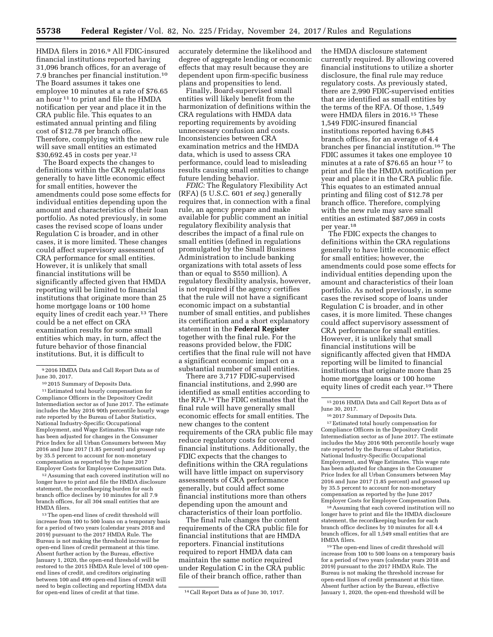HMDA filers in 2016.9 All FDIC-insured financial institutions reported having 31,096 branch offices, for an average of 7.9 branches per financial institution.10 The Board assumes it takes one employee 10 minutes at a rate of \$76.65 an hour 11 to print and file the HMDA notification per year and place it in the CRA public file. This equates to an estimated annual printing and filing cost of \$12.78 per branch office. Therefore, complying with the new rule will save small entities an estimated \$30,692.45 in costs per year.<sup>12</sup>

The Board expects the changes to definitions within the CRA regulations generally to have little economic effect for small entities, however the amendments could pose some effects for individual entities depending upon the amount and characteristics of their loan portfolio. As noted previously, in some cases the revised scope of loans under Regulation C is broader, and in other cases, it is more limited. These changes could affect supervisory assessment of CRA performance for small entities. However, it is unlikely that small financial institutions will be significantly affected given that HMDA reporting will be limited to financial institutions that originate more than 25 home mortgage loans or 100 home equity lines of credit each year.13 There could be a net effect on CRA examination results for some small entities which may, in turn, affect the future behavior of those financial institutions. But, it is difficult to

9 2016 HMDA Data and Call Report Data as of June 30, 2017.

10 2015 Summary of Deposits Data.

11Estimated total hourly compensation for Compliance Officers in the Depository Credit Intermediation sector as of June 2017. The estimate includes the May 2016 90th percentile hourly wage rate reported by the Bureau of Labor Statistics, National Industry-Specific Occupational Employment, and Wage Estimates. This wage rate has been adjusted for changes in the Consumer Price Index for all Urban Consumers between May 2016 and June 2017 (1.85 percent) and grossed up by 35.5 percent to account for non-monetary compensation as reported by the June 2017 Employer Costs for Employee Compensation Data.

12Assuming that each covered institution will no longer have to print and file the HMDA disclosure statement, the recordkeeping burden for each branch office declines by 10 minutes for all 7.9 branch offices, for all 304 small entities that are HMDA filers.

13The open-end lines of credit threshold will increase from 100 to 500 loans on a temporary basis for a period of two years (calendar years 2018 and 2019) pursuant to the 2017 HMDA Rule. The Bureau is not making the threshold increase for open-end lines of credit permanent at this time. Absent further action by the Bureau, effective January 1, 2020, the open-end threshold will be restored to the 2015 HMDA Rule level of 100 openend lines of credit, and creditors originating between 100 and 499 open-end lines of credit will need to begin collecting and reporting HMDA data for open-end lines of credit at that time. 14Call Report Data as of June 30, 1017.

accurately determine the likelihood and degree of aggregate lending or economic effects that may result because they are dependent upon firm-specific business plans and propensities to lend.

Finally, Board-supervised small entities will likely benefit from the harmonization of definitions within the CRA regulations with HMDA data reporting requirements by avoiding unnecessary confusion and costs. Inconsistencies between CRA examination metrics and the HMDA data, which is used to assess CRA performance, could lead to misleading results causing small entities to change future lending behavior.

*FDIC:* The Regulatory Flexibility Act (RFA) (5 U.S.C. 601 *et seq.*) generally requires that, in connection with a final rule, an agency prepare and make available for public comment an initial regulatory flexibility analysis that describes the impact of a final rule on small entities (defined in regulations promulgated by the Small Business Administration to include banking organizations with total assets of less than or equal to \$550 million). A regulatory flexibility analysis, however, is not required if the agency certifies that the rule will not have a significant economic impact on a substantial number of small entities, and publishes its certification and a short explanatory statement in the **Federal Register**  together with the final rule. For the reasons provided below, the FDIC certifies that the final rule will not have a significant economic impact on a substantial number of small entities.

There are 3,717 FDIC-supervised financial institutions, and 2,990 are identified as small entities according to the RFA.14 The FDIC estimates that the final rule will have generally small economic effects for small entities. The new changes to the content requirements of the CRA public file may reduce regulatory costs for covered financial institutions. Additionally, the FDIC expects that the changes to definitions within the CRA regulations will have little impact on supervisory assessments of CRA performance generally, but could affect some financial institutions more than others depending upon the amount and characteristics of their loan portfolio.

The final rule changes the content requirements of the CRA public file for financial institutions that are HMDA reporters. Financial institutions required to report HMDA data can maintain the same notice required under Regulation C in the CRA public file of their branch office, rather than

the HMDA disclosure statement currently required. By allowing covered financial institutions to utilize a shorter disclosure, the final rule may reduce regulatory costs. As previously stated, there are 2,990 FDIC-supervised entities that are identified as small entities by the terms of the RFA. Of those, 1,549 were HMDA filers in 2016.15 These 1,549 FDIC-insured financial institutions reported having 6,845 branch offices, for an average of 4.4 branches per financial institution.16 The FDIC assumes it takes one employee 10 minutes at a rate of \$76.65 an hour 17 to print and file the HMDA notification per year and place it in the CRA public file. This equates to an estimated annual printing and filing cost of \$12.78 per branch office. Therefore, complying with the new rule may save small entities an estimated \$87,069 in costs per year.18

The FDIC expects the changes to definitions within the CRA regulations generally to have little economic effect for small entities; however, the amendments could pose some effects for individual entities depending upon the amount and characteristics of their loan portfolio. As noted previously, in some cases the revised scope of loans under Regulation C is broader, and in other cases, it is more limited. These changes could affect supervisory assessment of CRA performance for small entities. However, it is unlikely that small financial institutions will be significantly affected given that HMDA reporting will be limited to financial institutions that originate more than 25 home mortgage loans or 100 home equity lines of credit each year.19 There

15 2016 HMDA Data and Call Report Data as of June 30, 2017.

16 2017 Summary of Deposits Data. 17Estimated total hourly compensation for Compliance Officers in the Depository Credit Intermediation sector as of June 2017. The estimate includes the May 2016 90th percentile hourly wage rate reported by the Bureau of Labor Statistics, National Industry-Specific Occupational Employment, and Wage Estimates. This wage rate has been adjusted for changes in the Consumer Price Index for all Urban Consumers between May 2016 and June 2017 (1.85 percent) and grossed up by 35.5 percent to account for non-monetary compensation as reported by the June 2017 Employer Costs for Employee Compensation Data.

18Assuming that each covered institution will no longer have to print and file the HMDA disclosure statement, the recordkeeping burden for each branch office declines by 10 minutes for all 4.4 branch offices, for all 1,549 small entities that are HMDA filers.

19The open-end lines of credit threshold will increase from 100 to 500 loans on a temporary basis for a period of two years (calendar years 2018 and 2019) pursuant to the 2017 HMDA Rule. The Bureau is not making the threshold increase for open-end lines of credit permanent at this time. Absent further action by the Bureau, effective January 1, 2020, the open-end threshold will be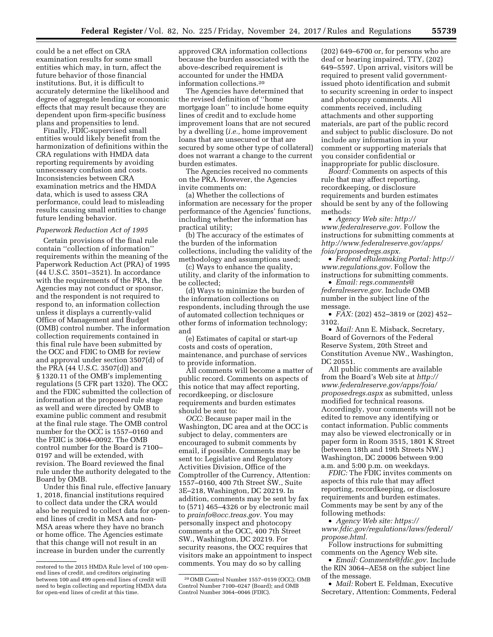could be a net effect on CRA examination results for some small entities which may, in turn, affect the future behavior of those financial institutions. But, it is difficult to accurately determine the likelihood and degree of aggregate lending or economic effects that may result because they are dependent upon firm-specific business plans and propensities to lend.

Finally, FDIC-supervised small entities would likely benefit from the harmonization of definitions within the CRA regulations with HMDA data reporting requirements by avoiding unnecessary confusion and costs. Inconsistencies between CRA examination metrics and the HMDA data, which is used to assess CRA performance, could lead to misleading results causing small entities to change future lending behavior.

#### *Paperwork Reduction Act of 1995*

Certain provisions of the final rule contain ''collection of information'' requirements within the meaning of the Paperwork Reduction Act (PRA) of 1995 (44 U.S.C. 3501–3521). In accordance with the requirements of the PRA, the Agencies may not conduct or sponsor, and the respondent is not required to respond to, an information collection unless it displays a currently-valid Office of Management and Budget (OMB) control number. The information collection requirements contained in this final rule have been submitted by the OCC and FDIC to OMB for review and approval under section 3507(d) of the PRA (44 U.S.C. 3507(d)) and § 1320.11 of the OMB's implementing regulations (5 CFR part 1320). The OCC and the FDIC submitted the collection of information at the proposed rule stage as well and were directed by OMB to examine public comment and resubmit at the final rule stage. The OMB control number for the OCC is 1557–0160 and the FDIC is 3064–0092. The OMB control number for the Board is 7100– 0197 and will be extended, with revision. The Board reviewed the final rule under the authority delegated to the Board by OMB.

Under this final rule, effective January 1, 2018, financial institutions required to collect data under the CRA would also be required to collect data for openend lines of credit in MSA and non-MSA areas where they have no branch or home office. The Agencies estimate that this change will not result in an increase in burden under the currently

approved CRA information collections because the burden associated with the above-described requirement is accounted for under the HMDA information collections.20

The Agencies have determined that the revised definition of ''home mortgage loan'' to include home equity lines of credit and to exclude home improvement loans that are not secured by a dwelling (*i.e.,* home improvement loans that are unsecured or that are secured by some other type of collateral) does not warrant a change to the current burden estimates.

The Agencies received no comments on the PRA. However, the Agencies invite comments on:

(a) Whether the collections of information are necessary for the proper performance of the Agencies' functions, including whether the information has practical utility;

(b) The accuracy of the estimates of the burden of the information collections, including the validity of the methodology and assumptions used;

(c) Ways to enhance the quality, utility, and clarity of the information to be collected;

(d) Ways to minimize the burden of the information collections on respondents, including through the use of automated collection techniques or other forms of information technology; and

(e) Estimates of capital or start-up costs and costs of operation, maintenance, and purchase of services to provide information.

All comments will become a matter of public record. Comments on aspects of this notice that may affect reporting, recordkeeping, or disclosure requirements and burden estimates should be sent to:

*OCC:* Because paper mail in the Washington, DC area and at the OCC is subject to delay, commenters are encouraged to submit comments by email, if possible. Comments may be sent to: Legislative and Regulatory Activities Division, Office of the Comptroller of the Currency, Attention: 1557–0160, 400 7th Street SW., Suite 3E–218, Washington, DC 20219. In addition, comments may be sent by fax to (571) 465–4326 or by electronic mail to *[prainfo@occ.treas.gov.](mailto:prainfo@occ.treas.gov)* You may personally inspect and photocopy comments at the OCC, 400 7th Street SW., Washington, DC 20219. For security reasons, the OCC requires that visitors make an appointment to inspect comments. You may do so by calling

(202) 649–6700 or, for persons who are deaf or hearing impaired, TTY, (202) 649–5597. Upon arrival, visitors will be required to present valid governmentissued photo identification and submit to security screening in order to inspect and photocopy comments. All comments received, including attachments and other supporting materials, are part of the public record and subject to public disclosure. Do not include any information in your comment or supporting materials that you consider confidential or inappropriate for public disclosure.

*Board:* Comments on aspects of this rule that may affect reporting, recordkeeping, or disclosure requirements and burden estimates should be sent by any of the following methods:

• *Agency Web site: [http://](http://www.federalreserve.gov) [www.federalreserve.gov.](http://www.federalreserve.gov)* Follow the instructions for submitting comments at *[http://www.federalreserve.gov/apps/](http://www.federalreserve.gov/apps/foia/proposedregs.aspx) [foia/proposedregs.aspx.](http://www.federalreserve.gov/apps/foia/proposedregs.aspx)* 

• *Federal eRulemaking Portal: [http://](http://www.regulations.gov)  [www.regulations.gov.](http://www.regulations.gov)* Follow the instructions for submitting comments.

• *Email: [regs.comments@](mailto:regs.comments@federalreserve.gov) [federalreserve.gov.](mailto:regs.comments@federalreserve.gov)* Include OMB number in the subject line of the message.

• *FAX:* (202) 452–3819 or (202) 452– 3102.

• *Mail:* Ann E. Misback, Secretary, Board of Governors of the Federal Reserve System, 20th Street and Constitution Avenue NW., Washington, DC 20551.

All public comments are available from the Board's Web site at *[http://](http://www.federalreserve.gov/apps/foia/proposedregs.aspx) [www.federalreserve.gov/apps/foia/](http://www.federalreserve.gov/apps/foia/proposedregs.aspx) [proposedregs.aspx](http://www.federalreserve.gov/apps/foia/proposedregs.aspx)* as submitted, unless modified for technical reasons. Accordingly, your comments will not be edited to remove any identifying or contact information. Public comments may also be viewed electronically or in paper form in Room 3515, 1801 K Street (between 18th and 19th Streets NW.) Washington, DC 20006 between 9:00 a.m. and 5:00 p.m. on weekdays.

*FDIC:* The FDIC invites comments on aspects of this rule that may affect reporting, recordkeeping, or disclosure requirements and burden estimates. Comments may be sent by any of the following methods:

• *Agency Web site: [https://](https://www.fdic.gov/regulations/laws/federal/propose.html) [www.fdic.gov/regulations/laws/federal/](https://www.fdic.gov/regulations/laws/federal/propose.html) [propose.html.](https://www.fdic.gov/regulations/laws/federal/propose.html)* 

Follow instructions for submitting comments on the Agency Web site.

• *Email: [Comments@fdic.gov.](mailto:Comments@fdic.gov)* Include the RIN 3064–AE58 on the subject line of the message.

• *Mail:* Robert E. Feldman, Executive Secretary, Attention: Comments, Federal

restored to the 2015 HMDA Rule level of 100 openend lines of credit, and creditors originating between 100 and 499 open-end lines of credit will need to begin collecting and reporting HMDA data for open-end lines of credit at this time.

<sup>20</sup>OMB Control Number 1557–0159 (OCC); OMB Control Number 7100–0247 (Board); and OMB Control Number 3064–0046 (FDIC).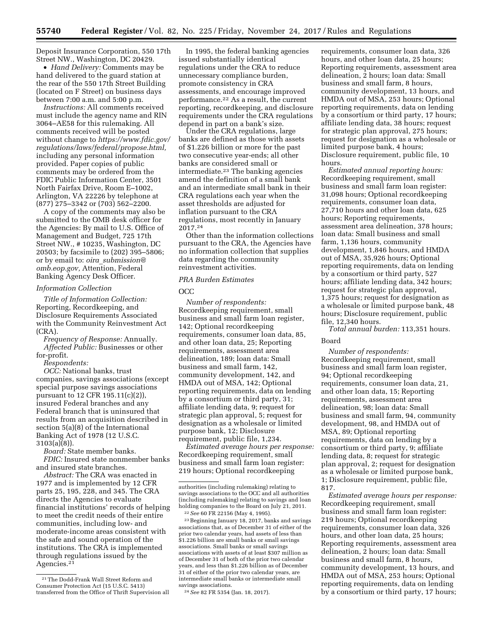Deposit Insurance Corporation, 550 17th Street NW., Washington, DC 20429.

• *Hand Delivery:* Comments may be hand delivered to the guard station at the rear of the 550 17th Street Building (located on F Street) on business days between 7:00 a.m. and 5:00 p.m.

*Instructions:* All comments received must include the agency name and RIN 3064–AE58 for this rulemaking. All comments received will be posted without change to *[https://www.fdic.gov/](https://www.fdic.gov/regulations/laws/federal/propose.html) [regulations/laws/federal/propose.html,](https://www.fdic.gov/regulations/laws/federal/propose.html)*  including any personal information provided. Paper copies of public comments may be ordered from the FDIC Public Information Center, 3501 North Fairfax Drive, Room E–1002, Arlington, VA 22226 by telephone at (877) 275–3342 or (703) 562–2200.

A copy of the comments may also be submitted to the OMB desk officer for the Agencies: By mail to U.S. Office of Management and Budget, 725 17th Street NW., # 10235, Washington, DC 20503; by facsimile to (202) 395–5806; or by email to: *oira*\_*[submission@](mailto:oira_submission@omb.eop.gov) [omb.eop.gov,](mailto:oira_submission@omb.eop.gov)* Attention, Federal Banking Agency Desk Officer.

#### *Information Collection*

*Title of Information Collection:*  Reporting, Recordkeeping, and Disclosure Requirements Associated with the Community Reinvestment Act (CRA).

*Frequency of Response:* Annually. *Affected Public:* Businesses or other for-profit.

*Respondents:* 

*OCC:* National banks, trust companies, savings associations (except special purpose savings associations pursuant to 12 CFR 195.11(c)(2)), insured Federal branches and any Federal branch that is uninsured that results from an acquisition described in section 5(a)(8) of the International Banking Act of 1978 (12 U.S.C. 3103(a)(8)).

*Board:* State member banks. *FDIC:* Insured state nonmember banks and insured state branches.

*Abstract:* The CRA was enacted in 1977 and is implemented by 12 CFR parts 25, 195, 228, and 345. The CRA directs the Agencies to evaluate financial institutions' records of helping to meet the credit needs of their entire communities, including low- and moderate-income areas consistent with the safe and sound operation of the institutions. The CRA is implemented through regulations issued by the Agencies.21

In 1995, the federal banking agencies issued substantially identical regulations under the CRA to reduce unnecessary compliance burden, promote consistency in CRA assessments, and encourage improved performance.22 As a result, the current reporting, recordkeeping, and disclosure requirements under the CRA regulations depend in part on a bank's size.

Under the CRA regulations, large banks are defined as those with assets of \$1.226 billion or more for the past two consecutive year-ends; all other banks are considered small or intermediate.23 The banking agencies amend the definition of a small bank and an intermediate small bank in their CRA regulations each year when the asset thresholds are adjusted for inflation pursuant to the CRA regulations, most recently in January 2017.24

Other than the information collections pursuant to the CRA, the Agencies have no information collection that supplies data regarding the community reinvestment activities.

## *PRA Burden Estimates*

OCC

*Number of respondents:*  Recordkeeping requirement, small business and small farm loan register, 142; Optional recordkeeping requirements, consumer loan data, 85, and other loan data, 25; Reporting requirements, assessment area delineation, 189; loan data: Small business and small farm, 142, community development, 142, and HMDA out of MSA, 142; Optional reporting requirements, data on lending by a consortium or third party, 31; affiliate lending data, 9; request for strategic plan approval, 5; request for designation as a wholesale or limited purpose bank, 12; Disclosure requirement, public file, 1,234.

*Estimated average hours per response:*  Recordkeeping requirement, small business and small farm loan register: 219 hours; Optional recordkeeping

23Beginning January 18, 2017, banks and savings associations that, as of December 31 of either of the prior two calendar years, had assets of less than \$1.226 billion are small banks or small savings associations. Small banks or small savings associations with assets of at least \$307 million as of December 31 of both of the prior two calendar years, and less than \$1.226 billion as of December 31 of either of the prior two calendar years, are intermediate small banks or intermediate small savings associations.

24*See* 82 FR 5354 (Jan. 18, 2017).

requirements, consumer loan data, 326 hours, and other loan data, 25 hours; Reporting requirements, assessment area delineation, 2 hours; loan data: Small business and small farm, 8 hours, community development, 13 hours, and HMDA out of MSA, 253 hours; Optional reporting requirements, data on lending by a consortium or third party, 17 hours; affiliate lending data, 38 hours; request for strategic plan approval, 275 hours; request for designation as a wholesale or limited purpose bank, 4 hours; Disclosure requirement, public file, 10 hours.

*Estimated annual reporting hours:*  Recordkeeping requirement, small business and small farm loan register: 31,098 hours; Optional recordkeeping requirements, consumer loan data, 27,710 hours and other loan data, 625 hours; Reporting requirements, assessment area delineation, 378 hours; loan data: Small business and small farm, 1,136 hours, community development, 1,846 hours, and HMDA out of MSA, 35,926 hours; Optional reporting requirements, data on lending by a consortium or third party, 527 hours; affiliate lending data, 342 hours; request for strategic plan approval, 1,375 hours; request for designation as a wholesale or limited purpose bank, 48 hours; Disclosure requirement, public file, 12,340 hours.

*Total annual burden:* 113,351 hours.

### Board

*Number of respondents:*  Recordkeeping requirement, small business and small farm loan register, 94; Optional recordkeeping requirements, consumer loan data, 21, and other loan data, 15; Reporting requirements, assessment area delineation, 98; loan data: Small business and small farm, 94, community development, 98, and HMDA out of MSA, 89; Optional reporting requirements, data on lending by a consortium or third party, 9; affiliate lending data, 8; request for strategic plan approval, 2; request for designation as a wholesale or limited purpose bank, 1; Disclosure requirement, public file, 817.

*Estimated average hours per response:*  Recordkeeping requirement, small business and small farm loan register: 219 hours; Optional recordkeeping requirements, consumer loan data, 326 hours, and other loan data, 25 hours; Reporting requirements, assessment area delineation, 2 hours; loan data: Small business and small farm, 8 hours, community development, 13 hours, and HMDA out of MSA, 253 hours; Optional reporting requirements, data on lending by a consortium or third party, 17 hours;

<sup>21</sup>The Dodd-Frank Wall Street Reform and Consumer Protection Act (15 U.S.C. 5413) transferred from the Office of Thrift Supervision all

authorities (including rulemaking) relating to savings associations to the OCC and all authorities (including rulemaking) relating to savings and loan holding companies to the Board on July 21, 2011. 22*See* 60 FR 22156 (May 4, 1995).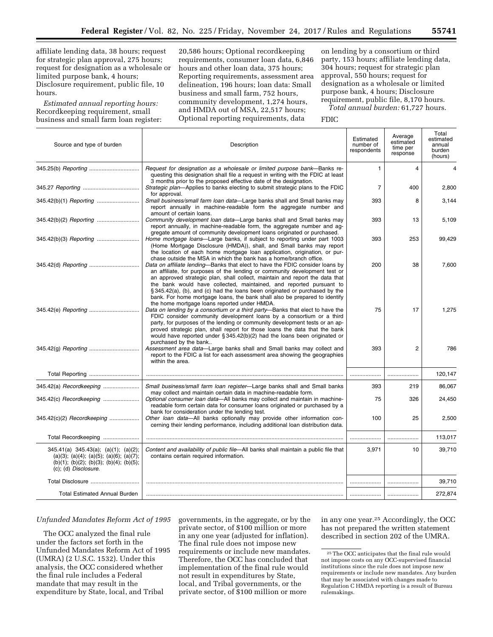affiliate lending data, 38 hours; request for strategic plan approval, 275 hours; request for designation as a wholesale or limited purpose bank, 4 hours; Disclosure requirement, public file, 10 hours.

*Estimated annual reporting hours:*  Recordkeeping requirement, small business and small farm loan register:

20,586 hours; Optional recordkeeping requirements, consumer loan data, 6,846 hours and other loan data, 375 hours; Reporting requirements, assessment area delineation, 196 hours; loan data: Small business and small farm, 752 hours, community development, 1,274 hours, and HMDA out of MSA, 22,517 hours; Optional reporting requirements, data

on lending by a consortium or third party, 153 hours; affiliate lending data, 304 hours; request for strategic plan approval, 550 hours; request for designation as a wholesale or limited purpose bank, 4 hours; Disclosure requirement, public file, 8,170 hours. *Total annual burden:* 61,727 hours.

FDIC

| Source and type of burden                                                                                                                                         | Description                                                                                                                                                                                                                                                                                                                                                                                                                                                                                                                    | Estimated<br>number of<br>respondents | Average<br>estimated<br>time per<br>response | Total<br>estimated<br>annual<br>burden<br>(hours) |
|-------------------------------------------------------------------------------------------------------------------------------------------------------------------|--------------------------------------------------------------------------------------------------------------------------------------------------------------------------------------------------------------------------------------------------------------------------------------------------------------------------------------------------------------------------------------------------------------------------------------------------------------------------------------------------------------------------------|---------------------------------------|----------------------------------------------|---------------------------------------------------|
|                                                                                                                                                                   | Request for designation as a wholesale or limited purpose bank—Banks re-<br>questing this designation shall file a request in writing with the FDIC at least<br>3 months prior to the proposed effective date of the designation.                                                                                                                                                                                                                                                                                              | $\mathbf{1}$                          | 4                                            | 4                                                 |
|                                                                                                                                                                   | Strategic plan-Applies to banks electing to submit strategic plans to the FDIC<br>for approval.                                                                                                                                                                                                                                                                                                                                                                                                                                | $\overline{7}$                        | 400                                          | 2,800                                             |
|                                                                                                                                                                   | Small business/small farm loan data-Large banks shall and Small banks may<br>report annually in machine-readable form the aggregate number and<br>amount of certain loans.                                                                                                                                                                                                                                                                                                                                                     | 393                                   | 8                                            | 3,144                                             |
|                                                                                                                                                                   | Community development loan data-Large banks shall and Small banks may<br>report annually, in machine-readable form, the aggregate number and ag-<br>gregate amount of community development loans originated or purchased.                                                                                                                                                                                                                                                                                                     | 393                                   | 13                                           | 5,109                                             |
|                                                                                                                                                                   | Home mortgage loans—Large banks, if subject to reporting under part 1003<br>(Home Mortgage Disclosure (HMDA)), shall, and Small banks may report<br>the location of each home mortgage loan application, origination, or pur-<br>chase outside the MSA in which the bank has a home/branch office.                                                                                                                                                                                                                             | 393                                   | 253                                          | 99,429                                            |
|                                                                                                                                                                   | Data on affiliate lending-Banks that elect to have the FDIC consider loans by<br>an affiliate, for purposes of the lending or community development test or<br>an approved strategic plan, shall collect, maintain and report the data that<br>the bank would have collected, maintained, and reported pursuant to<br>§345.42(a), (b), and (c) had the loans been originated or purchased by the<br>bank. For home mortgage loans, the bank shall also be prepared to identify<br>the home mortgage loans reported under HMDA. | 200                                   | 38                                           | 7,600                                             |
|                                                                                                                                                                   | Data on lending by a consortium or a third party-Banks that elect to have the<br>FDIC consider community development loans by a consortium or a third<br>party, for purposes of the lending or community development tests or an ap-<br>proved strategic plan, shall report for those loans the data that the bank<br>would have reported under $\S 345.42(b)(2)$ had the loans been originated or<br>purchased by the bank                                                                                                    | 75                                    | 17                                           | 1,275                                             |
|                                                                                                                                                                   | Assessment area data-Large banks shall and Small banks may collect and<br>report to the FDIC a list for each assessment area showing the geographies<br>within the area.                                                                                                                                                                                                                                                                                                                                                       | 393                                   | $\overline{2}$                               | 786                                               |
|                                                                                                                                                                   |                                                                                                                                                                                                                                                                                                                                                                                                                                                                                                                                | .                                     |                                              | 120,147                                           |
| 345.42(a) Recordkeeping                                                                                                                                           | Small business/small farm loan register-Large banks shall and Small banks<br>may collect and maintain certain data in machine-readable form.                                                                                                                                                                                                                                                                                                                                                                                   | 393                                   | 219                                          | 86,067                                            |
| 345.42(c) Recordkeeping                                                                                                                                           | Optional consumer loan data-All banks may collect and maintain in machine-<br>readable form certain data for consumer loans originated or purchased by a<br>bank for consideration under the lending test.                                                                                                                                                                                                                                                                                                                     | 75                                    | 326                                          | 24,450                                            |
| 345.42(c)(2) Recordkeeping                                                                                                                                        | Other loan data—All banks optionally may provide other information con-<br>cerning their lending performance, including additional loan distribution data.                                                                                                                                                                                                                                                                                                                                                                     | 100                                   | 25                                           | 2,500                                             |
| Total Recordkeeping                                                                                                                                               |                                                                                                                                                                                                                                                                                                                                                                                                                                                                                                                                |                                       |                                              | 113,017                                           |
| 345.41(a) 345.43(a); (a)(1); (a)(2);<br>$(a)(3); (a)(4); (a)(5); (a)(6); (a)(7);$<br>$(b)(1);$ $(b)(2);$ $(b)(3);$ $(b)(4);$ $(b)(5);$<br>$(c)$ ; (d) Disclosure. | Content and availability of public file—All banks shall maintain a public file that<br>contains certain required information.                                                                                                                                                                                                                                                                                                                                                                                                  | 3,971                                 | 10                                           | 39,710                                            |
|                                                                                                                                                                   |                                                                                                                                                                                                                                                                                                                                                                                                                                                                                                                                |                                       |                                              | 39,710                                            |
| <b>Total Estimated Annual Burden</b>                                                                                                                              |                                                                                                                                                                                                                                                                                                                                                                                                                                                                                                                                |                                       |                                              | 272,874                                           |

### *Unfunded Mandates Reform Act of 1995*

The OCC analyzed the final rule under the factors set forth in the Unfunded Mandates Reform Act of 1995 (UMRA) (2 U.S.C. 1532). Under this analysis, the OCC considered whether the final rule includes a Federal mandate that may result in the expenditure by State, local, and Tribal

governments, in the aggregate, or by the private sector, of \$100 million or more in any one year (adjusted for inflation). The final rule does not impose new requirements or include new mandates. Therefore, the OCC has concluded that implementation of the final rule would not result in expenditures by State, local, and Tribal governments, or the private sector, of \$100 million or more

in any one year.25 Accordingly, the OCC has not prepared the written statement described in section 202 of the UMRA.

<sup>25</sup>The OCC anticipates that the final rule would not impose costs on any OCC-supervised financial institutions since the rule does not impose new requirements or include new mandates. Any burden that may be associated with changes made to Regulation C HMDA reporting is a result of Bureau rulemakings.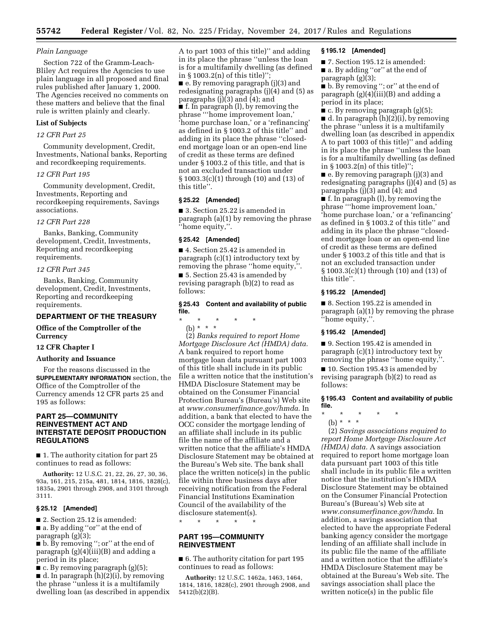#### *Plain Language*

Section 722 of the Gramm-Leach-Bliley Act requires the Agencies to use plain language in all proposed and final rules published after January 1, 2000. The Agencies received no comments on these matters and believe that the final rule is written plainly and clearly.

## **List of Subjects**

#### *12 CFR Part 25*

Community development, Credit, Investments, National banks, Reporting and recordkeeping requirements.

## *12 CFR Part 195*

Community development, Credit, Investments, Reporting and recordkeeping requirements, Savings associations.

#### *12 CFR Part 228*

Banks, Banking, Community development, Credit, Investments, Reporting and recordkeeping requirements.

#### *12 CFR Part 345*

Banks, Banking, Community development, Credit, Investments, Reporting and recordkeeping requirements.

## **DEPARTMENT OF THE TREASURY**

## **Office of the Comptroller of the Currency**

#### **12 CFR Chapter I**

## **Authority and Issuance**

For the reasons discussed in the **SUPPLEMENTARY INFORMATION** section, the Office of the Comptroller of the Currency amends 12 CFR parts 25 and 195 as follows:

## **PART 25—COMMUNITY REINVESTMENT ACT AND INTERSTATE DEPOSIT PRODUCTION REGULATIONS**

■ 1. The authority citation for part 25 continues to read as follows:

**Authority:** 12 U.S.C. 21, 22, 26, 27, 30, 36, 93a, 161, 215, 215a, 481, 1814, 1816, 1828(c), 1835a, 2901 through 2908, and 3101 through 3111.

#### **§ 25.12 [Amended]**

■ 2. Section 25.12 is amended:

■ a. By adding "or" at the end of paragraph (g)(3);

■ b. By removing "; or" at the end of paragraph  $(g)(4)$ (iii)(B) and adding a period in its place;

 $\blacksquare$  c. By removing paragraph (g)(5);

■ d. In paragraph (h)(2)(i), by removing the phrase ''unless it is a multifamily dwelling loan (as described in appendix A to part 1003 of this title)'' and adding in its place the phrase ''unless the loan is for a multifamily dwelling (as defined in § 1003.2(n) of this title)''; ■ e. By removing paragraph (j)(3) and redesignating paragraphs (j)(4) and (5) as paragraphs (j)(3) and (4); and ■ f. In paragraph (l), by removing the phrase '''home improvement loan,' 'home purchase loan,' or a 'refinancing' as defined in § 1003.2 of this title'' and adding in its place the phrase ''closedend mortgage loan or an open-end line of credit as these terms are defined under § 1003.2 of this title, and that is not an excluded transaction under § 1003.3(c)(1) through (10) and (13) of this title''.

## **§ 25.22 [Amended]**

■ 3. Section 25.22 is amended in paragraph (a)(1) by removing the phrase ''home equity,''.

## **§ 25.42 [Amended]**

■ 4. Section 25.42 is amended in paragraph (c)(1) introductory text by removing the phrase ''home equity,''. ■ 5. Section 25.43 is amended by revising paragraph (b)(2) to read as follows:

## **§ 25.43 Content and availability of public file.**

\* \* \* \* \* (b) \* \* \*

(2) *Banks required to report Home Mortgage Disclosure Act (HMDA) data.*  A bank required to report home mortgage loan data pursuant part 1003 of this title shall include in its public file a written notice that the institution's HMDA Disclosure Statement may be obtained on the Consumer Financial Protection Bureau's (Bureau's) Web site at *[www.consumerfinance.gov/hmda](http://www.consumerfinance.gov/hmda)*. In addition, a bank that elected to have the OCC consider the mortgage lending of an affiliate shall include in its public file the name of the affiliate and a written notice that the affiliate's HMDA Disclosure Statement may be obtained at the Bureau's Web site. The bank shall place the written notice(s) in the public file within three business days after receiving notification from the Federal Financial Institutions Examination Council of the availability of the disclosure statement(s).

\* \* \* \* \*

## **PART 195—COMMUNITY REINVESTMENT**

■ 6. The authority citation for part 195 continues to read as follows:

**Authority:** 12 U.S.C. 1462a, 1463, 1464, 1814, 1816, 1828(c), 2901 through 2908, and 5412(b)(2)(B).

## **§ 195.12 [Amended]**

■ 7. Section 195.12 is amended: ■ a. By adding "or" at the end of paragraph (g)(3);

■ b. By removing ''; or'' at the end of paragraph (g)(4)(iii)(B) and adding a period in its place;

 $\blacksquare$  c. By removing paragraph (g)(5); ■ d. In paragraph (h)(2)(i), by removing the phrase ''unless it is a multifamily dwelling loan (as described in appendix A to part 1003 of this title)'' and adding in its place the phrase ''unless the loan is for a multifamily dwelling (as defined in § 1003.2(n) of this title)'';

■ e. By removing paragraph (j)(3) and redesignating paragraphs (j)(4) and (5) as paragraphs (j)(3) and (4); and

■ f. In paragraph (l), by removing the phrase '''home improvement loan,' 'home purchase loan,' or a 'refinancing' as defined in § 1003.2 of this title'' and adding in its place the phrase ''closedend mortgage loan or an open-end line of credit as these terms are defined under § 1003.2 of this title and that is not an excluded transaction under § 1003.3(c)(1) through (10) and (13) of this title''.

#### **§ 195.22 [Amended]**

■ 8. Section 195.22 is amended in paragraph (a)(1) by removing the phrase ''home equity,''.

#### **§ 195.42 [Amended]**

■ 9. Section 195.42 is amended in paragraph (c)(1) introductory text by removing the phrase ''home equity,''.

■ 10. Section 195.43 is amended by revising paragraph (b)(2) to read as follows:

#### **§ 195.43 Content and availability of public file.**

- \* \* \* \* \*
	- (b) \* \* \*

(2) *Savings associations required to report Home Mortgage Disclosure Act (HMDA) data.* A savings association required to report home mortgage loan data pursuant part 1003 of this title shall include in its public file a written notice that the institution's HMDA Disclosure Statement may be obtained on the Consumer Financial Protection Bureau's (Bureau's) Web site at *[www.consumerfinance.gov/hmda](http://www.consumerfinance.gov/hmda)*. In addition, a savings association that elected to have the appropriate Federal banking agency consider the mortgage lending of an affiliate shall include in its public file the name of the affiliate and a written notice that the affiliate's HMDA Disclosure Statement may be obtained at the Bureau's Web site. The savings association shall place the written notice(s) in the public file